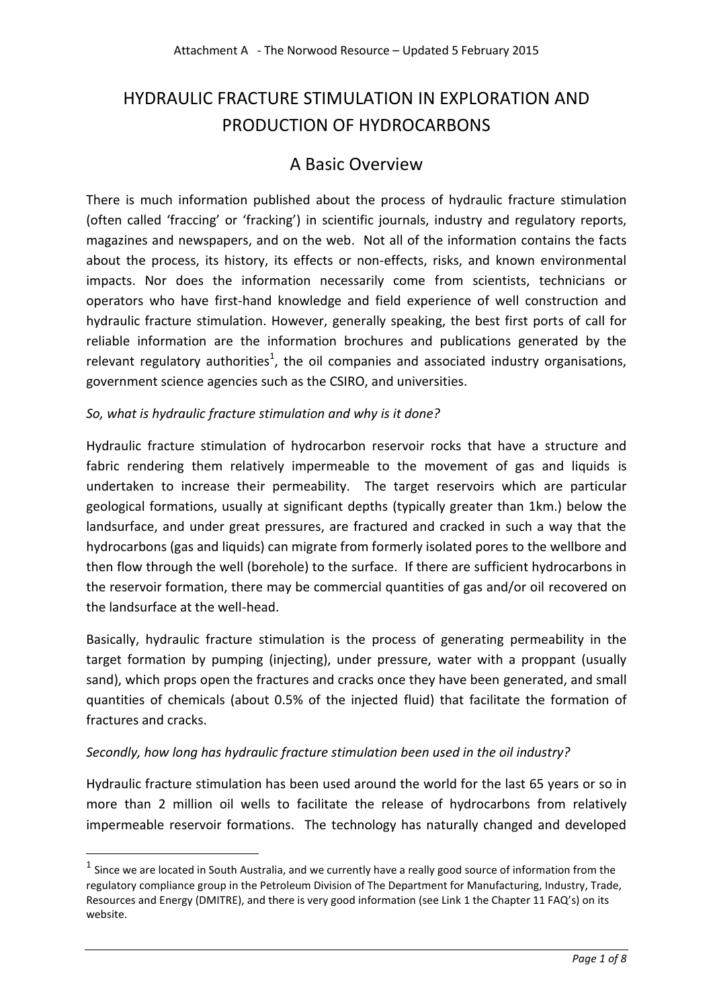# HYDRAULIC FRACTURE STIMULATION IN EXPLORATION AND PRODUCTION OF HYDROCARBONS

## A Basic Overview

There is much information published about the process of hydraulic fracture stimulation (often called 'fraccing' or 'fracking') in scientific journals, industry and regulatory reports, magazines and newspapers, and on the web. Not all of the information contains the facts about the process, its history, its effects or non-effects, risks, and known environmental impacts. Nor does the information necessarily come from scientists, technicians or operators who have first-hand knowledge and field experience of well construction and hydraulic fracture stimulation. However, generally speaking, the best first ports of call for reliable information are the information brochures and publications generated by the relevant regulatory authorities<sup>1</sup>, the oil companies and associated industry organisations, government science agencies such as the CSIRO, and universities.

### *So, what is hydraulic fracture stimulation and why is it done?*

Hydraulic fracture stimulation of hydrocarbon reservoir rocks that have a structure and fabric rendering them relatively impermeable to the movement of gas and liquids is undertaken to increase their permeability. The target reservoirs which are particular geological formations, usually at significant depths (typically greater than 1km.) below the landsurface, and under great pressures, are fractured and cracked in such a way that the hydrocarbons (gas and liquids) can migrate from formerly isolated pores to the wellbore and then flow through the well (borehole) to the surface. If there are sufficient hydrocarbons in the reservoir formation, there may be commercial quantities of gas and/or oil recovered on the landsurface at the well-head.

Basically, hydraulic fracture stimulation is the process of generating permeability in the target formation by pumping (injecting), under pressure, water with a proppant (usually sand), which props open the fractures and cracks once they have been generated, and small quantities of chemicals (about 0.5% of the injected fluid) that facilitate the formation of fractures and cracks.

#### *Secondly, how long has hydraulic fracture stimulation been used in the oil industry?*

**.** 

Hydraulic fracture stimulation has been used around the world for the last 65 years or so in more than 2 million oil wells to facilitate the release of hydrocarbons from relatively impermeable reservoir formations. The technology has naturally changed and developed

 $<sup>1</sup>$  Since we are located in South Australia, and we currently have a really good source of information from the</sup> regulatory compliance group in the Petroleum Division of The Department for Manufacturing, Industry, Trade, Resources and Energy (DMITRE), and there is very good information (see Link 1 the Chapter 11 FAQ's) on its website.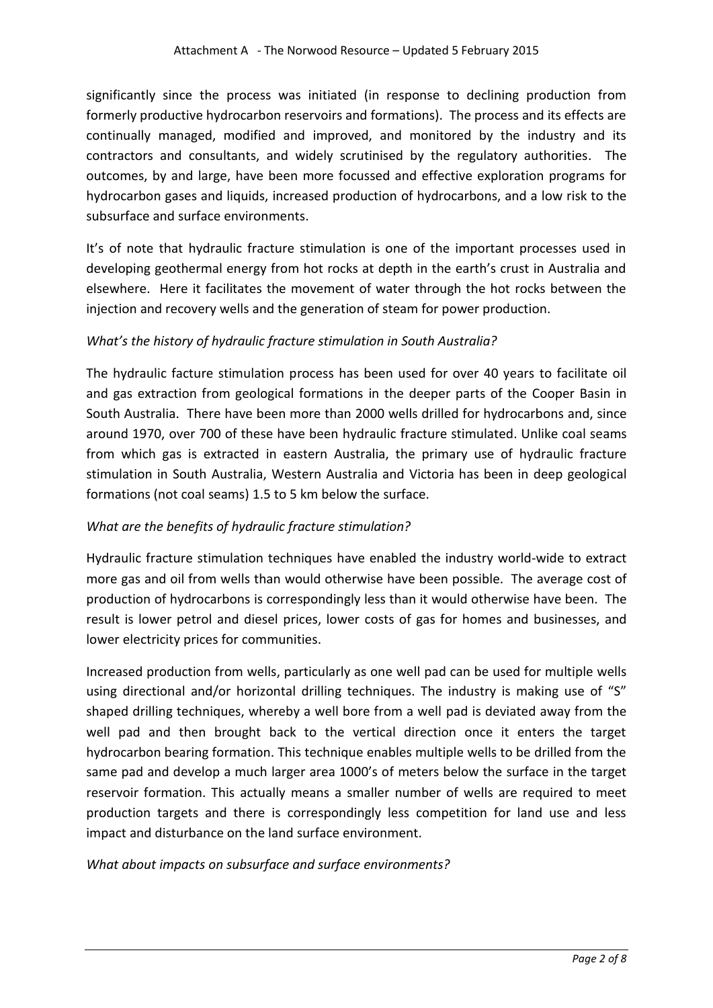significantly since the process was initiated (in response to declining production from formerly productive hydrocarbon reservoirs and formations). The process and its effects are continually managed, modified and improved, and monitored by the industry and its contractors and consultants, and widely scrutinised by the regulatory authorities. The outcomes, by and large, have been more focussed and effective exploration programs for hydrocarbon gases and liquids, increased production of hydrocarbons, and a low risk to the subsurface and surface environments.

It's of note that hydraulic fracture stimulation is one of the important processes used in developing geothermal energy from hot rocks at depth in the earth's crust in Australia and elsewhere. Here it facilitates the movement of water through the hot rocks between the injection and recovery wells and the generation of steam for power production.

#### *What's the history of hydraulic fracture stimulation in South Australia?*

The hydraulic facture stimulation process has been used for over 40 years to facilitate oil and gas extraction from geological formations in the deeper parts of the Cooper Basin in South Australia. There have been more than 2000 wells drilled for hydrocarbons and, since around 1970, over 700 of these have been hydraulic fracture stimulated. Unlike coal seams from which gas is extracted in eastern Australia, the primary use of hydraulic fracture stimulation in South Australia, Western Australia and Victoria has been in deep geological formations (not coal seams) 1.5 to 5 km below the surface.

#### *What are the benefits of hydraulic fracture stimulation?*

Hydraulic fracture stimulation techniques have enabled the industry world-wide to extract more gas and oil from wells than would otherwise have been possible. The average cost of production of hydrocarbons is correspondingly less than it would otherwise have been. The result is lower petrol and diesel prices, lower costs of gas for homes and businesses, and lower electricity prices for communities.

Increased production from wells, particularly as one well pad can be used for multiple wells using directional and/or horizontal drilling techniques. The industry is making use of "S" shaped drilling techniques, whereby a well bore from a well pad is deviated away from the well pad and then brought back to the vertical direction once it enters the target hydrocarbon bearing formation. This technique enables multiple wells to be drilled from the same pad and develop a much larger area 1000's of meters below the surface in the target reservoir formation. This actually means a smaller number of wells are required to meet production targets and there is correspondingly less competition for land use and less impact and disturbance on the land surface environment.

#### *What about impacts on subsurface and surface environments?*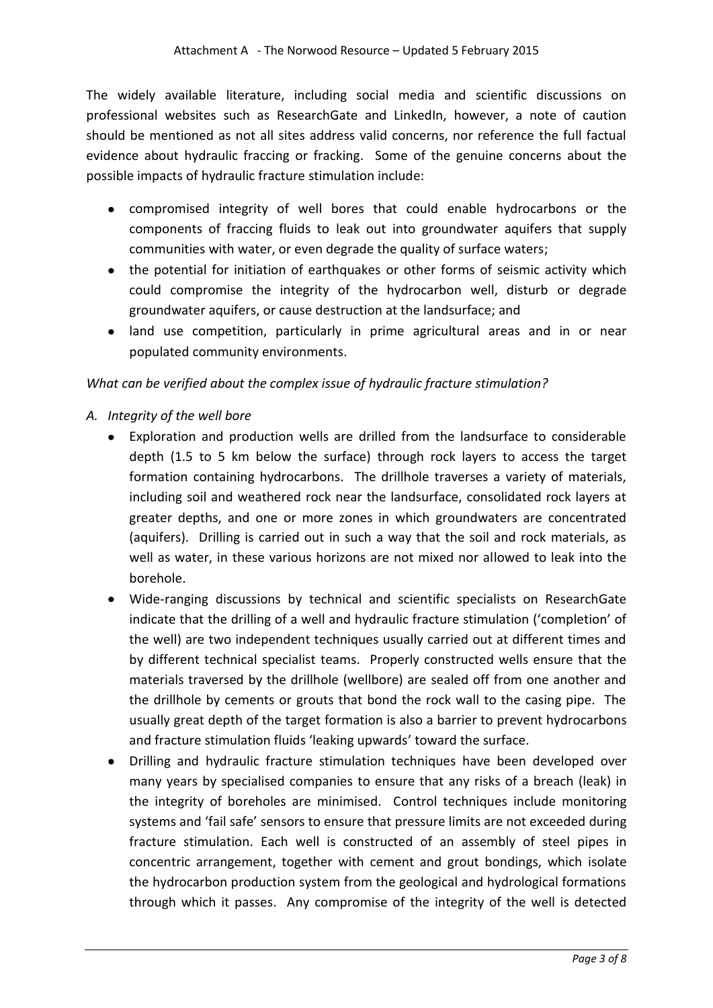The widely available literature, including social media and scientific discussions on professional websites such as ResearchGate and LinkedIn, however, a note of caution should be mentioned as not all sites address valid concerns, nor reference the full factual evidence about hydraulic fraccing or fracking. Some of the genuine concerns about the possible impacts of hydraulic fracture stimulation include:

- compromised integrity of well bores that could enable hydrocarbons or the components of fraccing fluids to leak out into groundwater aquifers that supply communities with water, or even degrade the quality of surface waters;
- the potential for initiation of earthquakes or other forms of seismic activity which could compromise the integrity of the hydrocarbon well, disturb or degrade groundwater aquifers, or cause destruction at the landsurface; and
- land use competition, particularly in prime agricultural areas and in or near populated community environments.

### *What can be verified about the complex issue of hydraulic fracture stimulation?*

- *A. Integrity of the well bore*
	- Exploration and production wells are drilled from the landsurface to considerable depth (1.5 to 5 km below the surface) through rock layers to access the target formation containing hydrocarbons. The drillhole traverses a variety of materials, including soil and weathered rock near the landsurface, consolidated rock layers at greater depths, and one or more zones in which groundwaters are concentrated (aquifers). Drilling is carried out in such a way that the soil and rock materials, as well as water, in these various horizons are not mixed nor allowed to leak into the borehole.
	- Wide-ranging discussions by technical and scientific specialists on ResearchGate indicate that the drilling of a well and hydraulic fracture stimulation ('completion' of the well) are two independent techniques usually carried out at different times and by different technical specialist teams. Properly constructed wells ensure that the materials traversed by the drillhole (wellbore) are sealed off from one another and the drillhole by cements or grouts that bond the rock wall to the casing pipe. The usually great depth of the target formation is also a barrier to prevent hydrocarbons and fracture stimulation fluids 'leaking upwards' toward the surface.
	- $\bullet$ Drilling and hydraulic fracture stimulation techniques have been developed over many years by specialised companies to ensure that any risks of a breach (leak) in the integrity of boreholes are minimised. Control techniques include monitoring systems and 'fail safe' sensors to ensure that pressure limits are not exceeded during fracture stimulation. Each well is constructed of an assembly of steel pipes in concentric arrangement, together with cement and grout bondings, which isolate the hydrocarbon production system from the geological and hydrological formations through which it passes. Any compromise of the integrity of the well is detected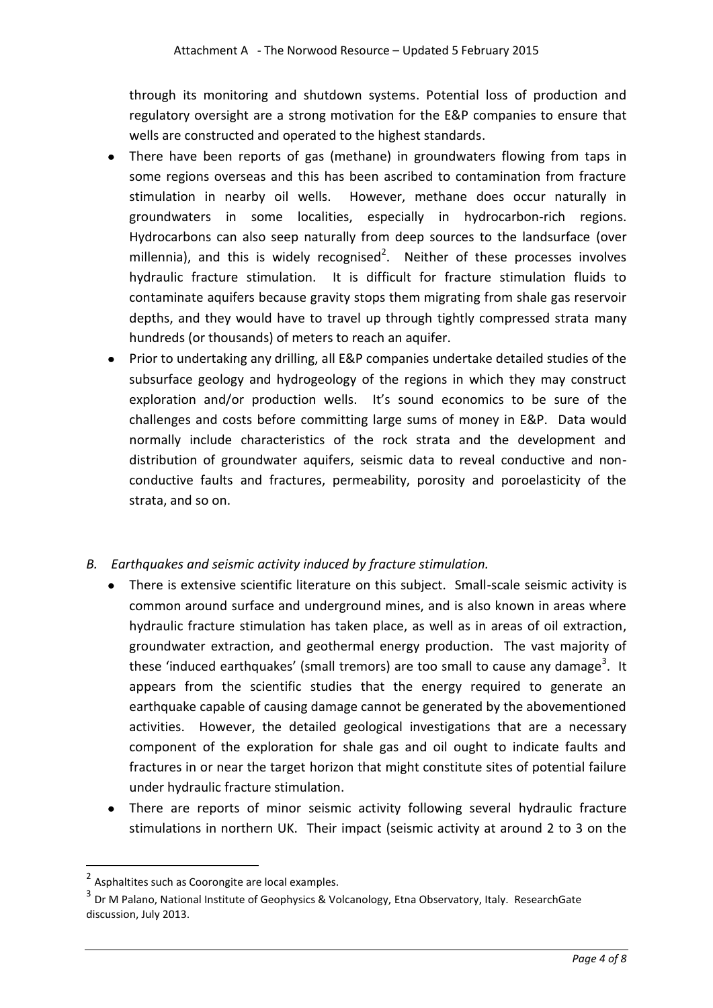through its monitoring and shutdown systems. Potential loss of production and regulatory oversight are a strong motivation for the E&P companies to ensure that wells are constructed and operated to the highest standards.

- There have been reports of gas (methane) in groundwaters flowing from taps in some regions overseas and this has been ascribed to contamination from fracture stimulation in nearby oil wells. However, methane does occur naturally in groundwaters in some localities, especially in hydrocarbon-rich regions. Hydrocarbons can also seep naturally from deep sources to the landsurface (over millennia), and this is widely recognised<sup>2</sup>. Neither of these processes involves hydraulic fracture stimulation. It is difficult for fracture stimulation fluids to contaminate aquifers because gravity stops them migrating from shale gas reservoir depths, and they would have to travel up through tightly compressed strata many hundreds (or thousands) of meters to reach an aquifer.
- Prior to undertaking any drilling, all E&P companies undertake detailed studies of the  $\bullet$ subsurface geology and hydrogeology of the regions in which they may construct exploration and/or production wells. It's sound economics to be sure of the challenges and costs before committing large sums of money in E&P. Data would normally include characteristics of the rock strata and the development and distribution of groundwater aquifers, seismic data to reveal conductive and nonconductive faults and fractures, permeability, porosity and poroelasticity of the strata, and so on.

## *B. Earthquakes and seismic activity induced by fracture stimulation.*

- There is extensive scientific literature on this subject. Small-scale seismic activity is common around surface and underground mines, and is also known in areas where hydraulic fracture stimulation has taken place, as well as in areas of oil extraction, groundwater extraction, and geothermal energy production. The vast majority of these 'induced earthquakes' (small tremors) are too small to cause any damage<sup>3</sup>. It appears from the scientific studies that the energy required to generate an earthquake capable of causing damage cannot be generated by the abovementioned activities. However, the detailed geological investigations that are a necessary component of the exploration for shale gas and oil ought to indicate faults and fractures in or near the target horizon that might constitute sites of potential failure under hydraulic fracture stimulation.
- There are reports of minor seismic activity following several hydraulic fracture stimulations in northern UK. Their impact (seismic activity at around 2 to 3 on the

**.** 

<sup>&</sup>lt;sup>2</sup> Asphaltites such as Coorongite are local examples.

<sup>&</sup>lt;sup>3</sup> Dr M Palano, National Institute of Geophysics & Volcanology, Etna Observatory, Italy. ResearchGate discussion, July 2013.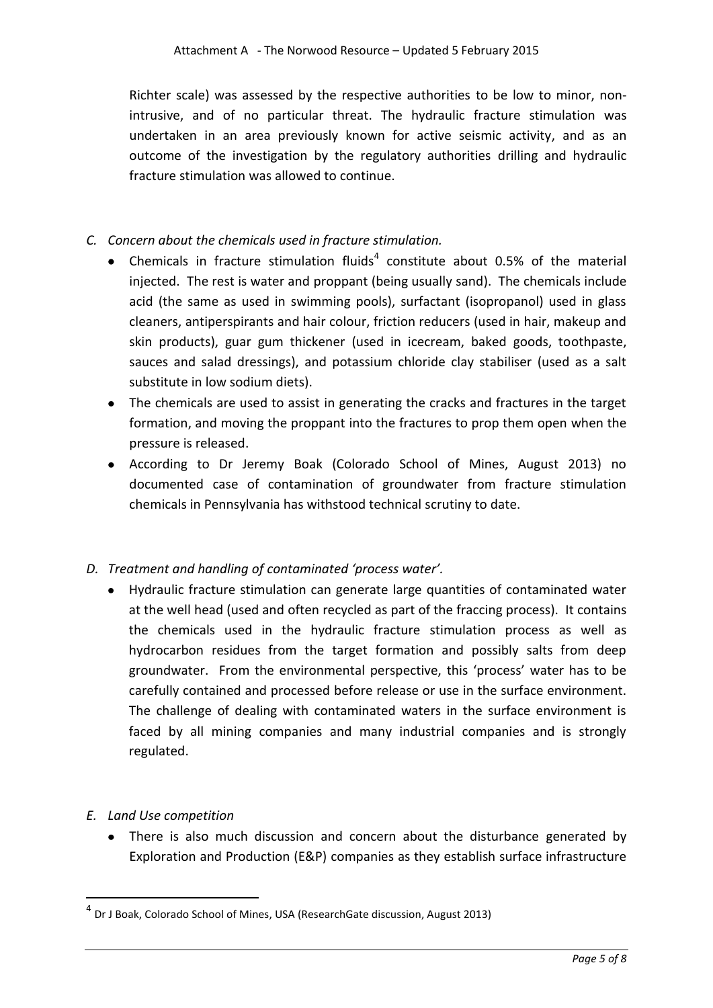Richter scale) was assessed by the respective authorities to be low to minor, nonintrusive, and of no particular threat. The hydraulic fracture stimulation was undertaken in an area previously known for active seismic activity, and as an outcome of the investigation by the regulatory authorities drilling and hydraulic fracture stimulation was allowed to continue.

#### *C. Concern about the chemicals used in fracture stimulation.*

- Chemicals in fracture stimulation fluids<sup>4</sup> constitute about 0.5% of the material injected. The rest is water and proppant (being usually sand). The chemicals include acid (the same as used in swimming pools), surfactant (isopropanol) used in glass cleaners, antiperspirants and hair colour, friction reducers (used in hair, makeup and skin products), guar gum thickener (used in icecream, baked goods, toothpaste, sauces and salad dressings), and potassium chloride clay stabiliser (used as a salt substitute in low sodium diets).
- The chemicals are used to assist in generating the cracks and fractures in the target formation, and moving the proppant into the fractures to prop them open when the pressure is released.
- According to Dr Jeremy Boak (Colorado School of Mines, August 2013) no documented case of contamination of groundwater from fracture stimulation chemicals in Pennsylvania has withstood technical scrutiny to date.

#### *D. Treatment and handling of contaminated 'process water'.*

Hydraulic fracture stimulation can generate large quantities of contaminated water at the well head (used and often recycled as part of the fraccing process). It contains the chemicals used in the hydraulic fracture stimulation process as well as hydrocarbon residues from the target formation and possibly salts from deep groundwater. From the environmental perspective, this 'process' water has to be carefully contained and processed before release or use in the surface environment. The challenge of dealing with contaminated waters in the surface environment is faced by all mining companies and many industrial companies and is strongly regulated.

#### *E. Land Use competition*

1

There is also much discussion and concern about the disturbance generated by Exploration and Production (E&P) companies as they establish surface infrastructure

<sup>4</sup> Dr J Boak, Colorado School of Mines, USA (ResearchGate discussion, August 2013)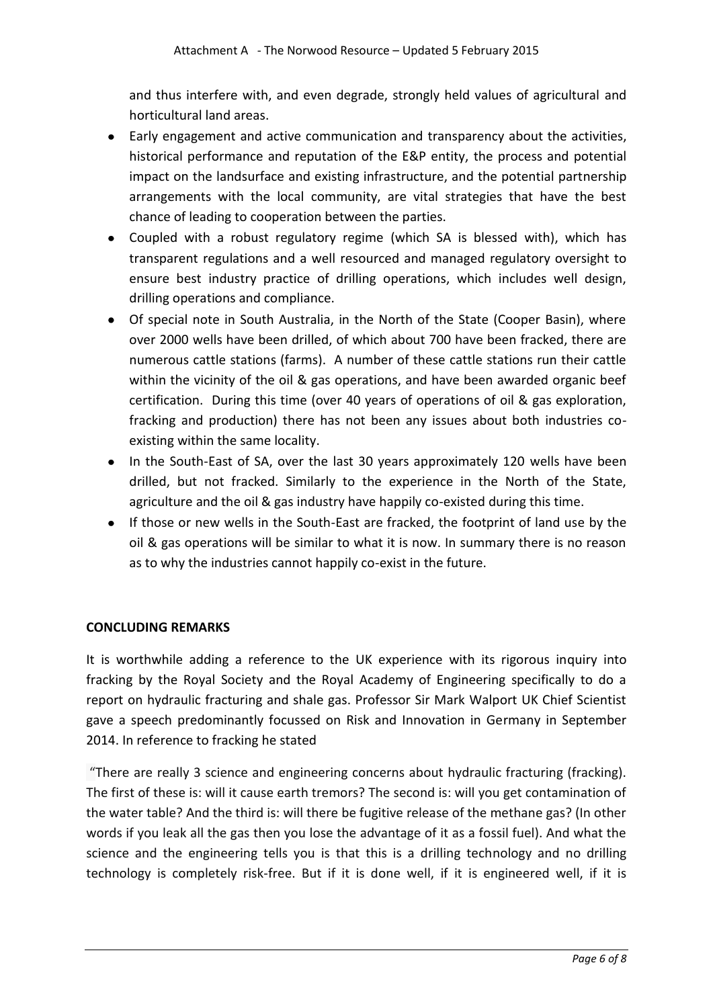and thus interfere with, and even degrade, strongly held values of agricultural and horticultural land areas.

- Early engagement and active communication and transparency about the activities, historical performance and reputation of the E&P entity, the process and potential impact on the landsurface and existing infrastructure, and the potential partnership arrangements with the local community, are vital strategies that have the best chance of leading to cooperation between the parties.
- Coupled with a robust regulatory regime (which SA is blessed with), which has transparent regulations and a well resourced and managed regulatory oversight to ensure best industry practice of drilling operations, which includes well design, drilling operations and compliance.
- Of special note in South Australia, in the North of the State (Cooper Basin), where over 2000 wells have been drilled, of which about 700 have been fracked, there are numerous cattle stations (farms). A number of these cattle stations run their cattle within the vicinity of the oil & gas operations, and have been awarded organic beef certification. During this time (over 40 years of operations of oil & gas exploration, fracking and production) there has not been any issues about both industries coexisting within the same locality.
- In the South-East of SA, over the last 30 years approximately 120 wells have been drilled, but not fracked. Similarly to the experience in the North of the State, agriculture and the oil & gas industry have happily co-existed during this time.
- If those or new wells in the South-East are fracked, the footprint of land use by the oil & gas operations will be similar to what it is now. In summary there is no reason as to why the industries cannot happily co-exist in the future.

#### **CONCLUDING REMARKS**

It is worthwhile adding a reference to the UK experience with its rigorous inquiry into fracking by the Royal Society and the Royal Academy of Engineering specifically to do a report on hydraulic fracturing and shale gas. Professor Sir Mark Walport UK Chief Scientist gave a speech predominantly focussed on Risk and Innovation in Germany in September 2014. In reference to fracking he stated

"There are really 3 science and engineering concerns about hydraulic fracturing (fracking). The first of these is: will it cause earth tremors? The second is: will you get contamination of the water table? And the third is: will there be fugitive release of the methane gas? (In other words if you leak all the gas then you lose the advantage of it as a fossil fuel). And what the science and the engineering tells you is that this is a drilling technology and no drilling technology is completely risk-free. But if it is done well, if it is engineered well, if it is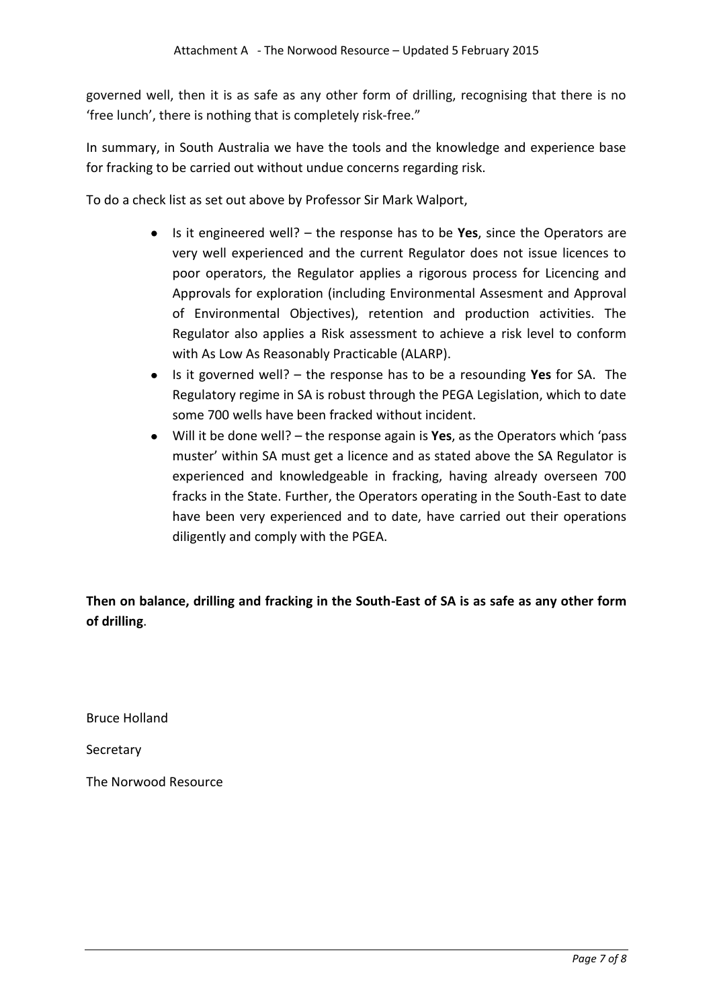governed well, then it is as safe as any other form of drilling, recognising that there is no 'free lunch', there is nothing that is completely risk-free."

In summary, in South Australia we have the tools and the knowledge and experience base for fracking to be carried out without undue concerns regarding risk.

To do a check list as set out above by Professor Sir Mark Walport,

- Is it engineered well? the response has to be **Yes**, since the Operators are very well experienced and the current Regulator does not issue licences to poor operators, the Regulator applies a rigorous process for Licencing and Approvals for exploration (including Environmental Assesment and Approval of Environmental Objectives), retention and production activities. The Regulator also applies a Risk assessment to achieve a risk level to conform with As Low As Reasonably Practicable (ALARP).
- Is it governed well? the response has to be a resounding **Yes** for SA. The Regulatory regime in SA is robust through the PEGA Legislation, which to date some 700 wells have been fracked without incident.
- Will it be done well? the response again is **Yes**, as the Operators which 'pass muster' within SA must get a licence and as stated above the SA Regulator is experienced and knowledgeable in fracking, having already overseen 700 fracks in the State. Further, the Operators operating in the South-East to date have been very experienced and to date, have carried out their operations diligently and comply with the PGEA.

**Then on balance, drilling and fracking in the South-East of SA is as safe as any other form of drilling**.

Bruce Holland

Secretary

The Norwood Resource